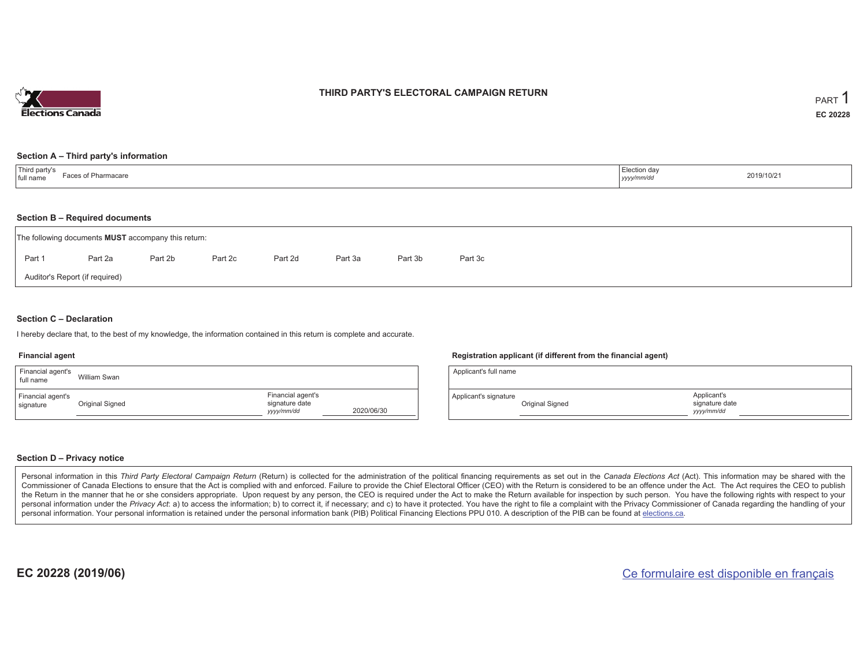

### **THIRD PARTY'S ELECTORAL CAMPAIGN RETURN**

#### **Section A – Third party's information**

| Third party's<br>full name<br>Faces of Pharmacare | Election day<br>yyyy/mm/dd | 2019/10/21 |
|---------------------------------------------------|----------------------------|------------|
|---------------------------------------------------|----------------------------|------------|

#### **Section B – Required documents**

|        | The following documents <b>MUST</b> accompany this return: |         |         |         |         |         |         |  |  |
|--------|------------------------------------------------------------|---------|---------|---------|---------|---------|---------|--|--|
| Part 1 | Part 2a                                                    | Part 2b | Part 2c | Part 2d | Part 3a | Part 3b | Part 3c |  |  |
|        | Auditor's Report (if required)                             |         |         |         |         |         |         |  |  |

#### **Section C – Declaration**

I hereby declare that, to the best of my knowledge, the information contained in this return is complete and accurate.

#### **Financial agent**

| Financial agent's<br>full name | William Swan    |                                                   |            |
|--------------------------------|-----------------|---------------------------------------------------|------------|
| Financial agent's<br>signature | Original Signed | Financial agent's<br>signature date<br>yyyy/mm/dd | 2020/06/30 |

#### **Registration applicant (if different from the financial agent)**

| Applicant's full name |                 |                                             |  |
|-----------------------|-----------------|---------------------------------------------|--|
| Applicant's signature | Original Signed | Applicant's<br>signature date<br>yyyy/mm/dd |  |

#### **Section D – Privacy notice**

Personal information in this Third Party Electoral Campaign Return (Return) is collected for the administration of the political financing requirements as set out in the Canada Elections Act (Act). This information may be Commissioner of Canada Elections to ensure that the Act is complied with and enforced. Failure to provide the Chief Electoral Officer (CEO) with the Return is considered to be an offence under the Act. The Act requires the the Return in the manner that he or she considers appropriate. Upon request by any person, the CEO is required under the Act to make the Return available for inspection by such person. You have the following rights with re personal information under the Privacy Act: a) to access the information; b) to correct it, if necessary; and c) to have it protected. You have the right to file a complaint with the Privacy Commissioner of Canada regardin personal information. Your personal information is retained under the personal information bank (PIB) Political Financing Elections PPU 010. A description of the PIB can be found at elections.ca.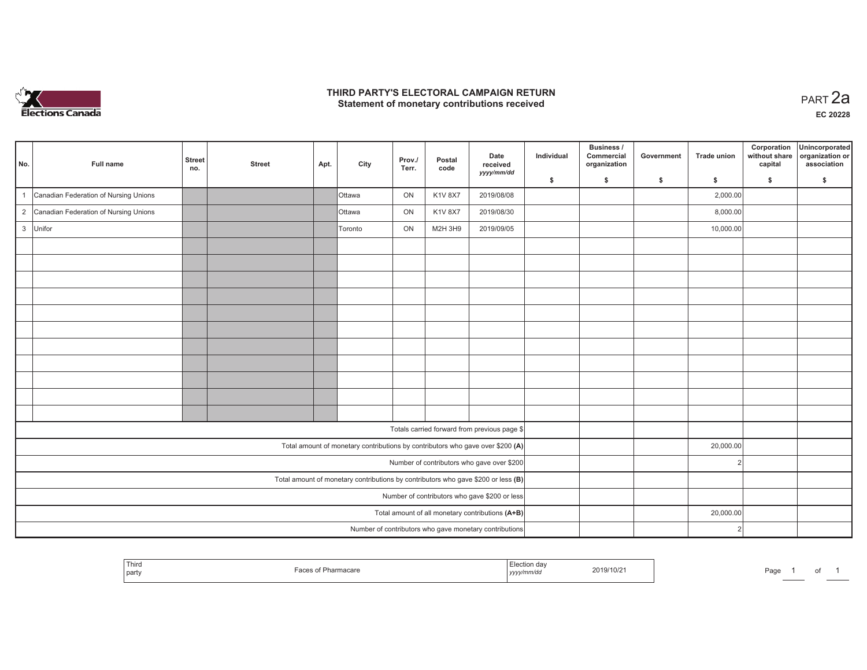

## **THIRD PARTY'S ELECTORAL CAMPAIGN RETURN HIRD PARTY'S ELECTORAL CAMPAIGN RETURN<br>Statement of monetary contributions received PART 2a**

| No.          | Full name                                                                           | <b>Street</b><br>no.                             | <b>Street</b> | Apt. | City    | Prov./<br>Terr. | Postal<br>code | Date<br>received<br>yyyy/mm/dd                                                 | Individual | Business /<br>Commercial<br>organization | Government | <b>Trade union</b> | Corporation<br>without share<br>capital | Unincorporated<br>organization or<br>association |
|--------------|-------------------------------------------------------------------------------------|--------------------------------------------------|---------------|------|---------|-----------------|----------------|--------------------------------------------------------------------------------|------------|------------------------------------------|------------|--------------------|-----------------------------------------|--------------------------------------------------|
|              |                                                                                     |                                                  |               |      |         |                 |                |                                                                                | \$         | S.                                       | \$         | S.                 | \$                                      | S.                                               |
| $\mathbf{1}$ | Canadian Federation of Nursing Unions                                               |                                                  |               |      | Ottawa  | ON              | <b>K1V 8X7</b> | 2019/08/08                                                                     |            |                                          |            | 2,000.00           |                                         |                                                  |
|              | 2 Canadian Federation of Nursing Unions                                             |                                                  |               |      | Ottawa  | ON              | <b>K1V 8X7</b> | 2019/08/30                                                                     |            |                                          |            | 8,000.00           |                                         |                                                  |
|              | 3 Unifor                                                                            |                                                  |               |      | Toronto | ON              | M2H 3H9        | 2019/09/05                                                                     |            |                                          |            | 10,000.00          |                                         |                                                  |
|              |                                                                                     |                                                  |               |      |         |                 |                |                                                                                |            |                                          |            |                    |                                         |                                                  |
|              |                                                                                     |                                                  |               |      |         |                 |                |                                                                                |            |                                          |            |                    |                                         |                                                  |
|              |                                                                                     |                                                  |               |      |         |                 |                |                                                                                |            |                                          |            |                    |                                         |                                                  |
|              |                                                                                     |                                                  |               |      |         |                 |                |                                                                                |            |                                          |            |                    |                                         |                                                  |
|              |                                                                                     |                                                  |               |      |         |                 |                |                                                                                |            |                                          |            |                    |                                         |                                                  |
|              |                                                                                     |                                                  |               |      |         |                 |                |                                                                                |            |                                          |            |                    |                                         |                                                  |
|              |                                                                                     |                                                  |               |      |         |                 |                |                                                                                |            |                                          |            |                    |                                         |                                                  |
|              |                                                                                     |                                                  |               |      |         |                 |                |                                                                                |            |                                          |            |                    |                                         |                                                  |
|              |                                                                                     |                                                  |               |      |         |                 |                |                                                                                |            |                                          |            |                    |                                         |                                                  |
|              |                                                                                     |                                                  |               |      |         |                 |                |                                                                                |            |                                          |            |                    |                                         |                                                  |
|              |                                                                                     |                                                  |               |      |         |                 |                |                                                                                |            |                                          |            |                    |                                         |                                                  |
|              |                                                                                     |                                                  |               |      |         |                 |                | Totals carried forward from previous page \$                                   |            |                                          |            |                    |                                         |                                                  |
|              |                                                                                     |                                                  |               |      |         |                 |                | Total amount of monetary contributions by contributors who gave over \$200 (A) |            |                                          |            | 20,000.00          |                                         |                                                  |
|              | Number of contributors who gave over \$200                                          |                                                  |               |      |         |                 |                |                                                                                |            |                                          |            |                    |                                         |                                                  |
|              | Total amount of monetary contributions by contributors who gave \$200 or less $(B)$ |                                                  |               |      |         |                 |                |                                                                                |            |                                          |            |                    |                                         |                                                  |
|              | Number of contributors who gave \$200 or less                                       |                                                  |               |      |         |                 |                |                                                                                |            |                                          |            |                    |                                         |                                                  |
|              |                                                                                     | Total amount of all monetary contributions (A+B) |               |      |         | 20,000.00       |                |                                                                                |            |                                          |            |                    |                                         |                                                  |
|              |                                                                                     |                                                  |               |      |         |                 |                | Number of contributors who gave monetary contributions                         |            |                                          |            | $\mathcal{P}$      |                                         |                                                  |

|  | Third<br>  party | .<br>macare | эноп аа<br>, уууулг<br> | 2019/10/2 | Page | _____ | $\cdot$ |  |
|--|------------------|-------------|-------------------------|-----------|------|-------|---------|--|
|--|------------------|-------------|-------------------------|-----------|------|-------|---------|--|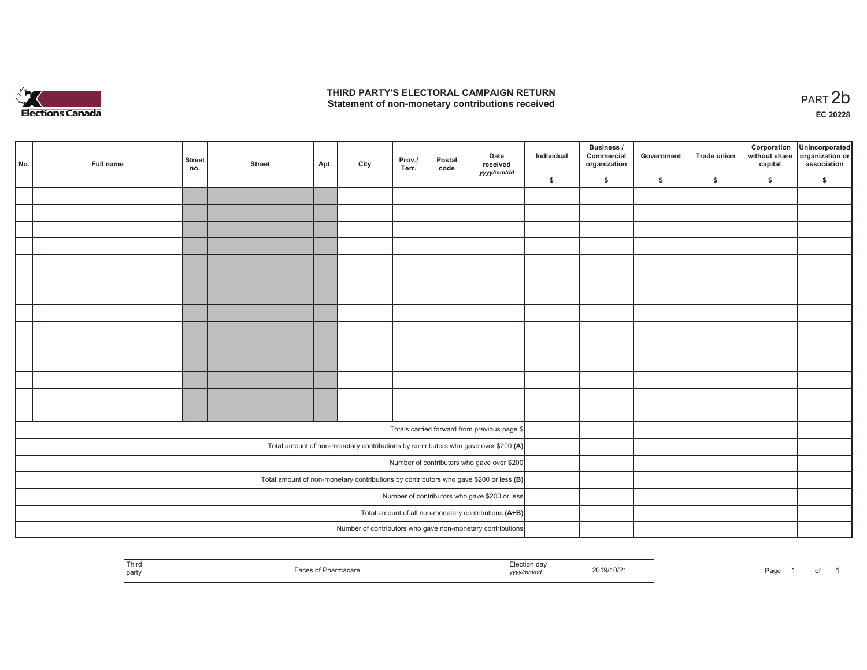

## **THIRD PARTY'S ELECTORAL CAMPAIGN RETURN**  THIRD PARTY'S ELECTORAL CAMPAIGN RETURN<br>Statement of non-monetary contributions received<br> **PART 2b**

of 1

| No. | Full name                                     | <b>Street</b><br>no. | <b>Street</b> | Apt. | City | Prov./<br>Terr. | Postal<br>code | Date<br>received<br>yyyy/mm/dd                                                          | Individual | <b>Business /</b><br>Commercial<br>organization | Government   | Trade union  | Corporation<br>capital | Unincorporated<br>without share organization or<br>association |
|-----|-----------------------------------------------|----------------------|---------------|------|------|-----------------|----------------|-----------------------------------------------------------------------------------------|------------|-------------------------------------------------|--------------|--------------|------------------------|----------------------------------------------------------------|
|     |                                               |                      |               |      |      |                 |                |                                                                                         | \$         | \$                                              | $\mathsf{s}$ | $\mathbf{s}$ | \$                     | \$                                                             |
|     |                                               |                      |               |      |      |                 |                |                                                                                         |            |                                                 |              |              |                        |                                                                |
|     |                                               |                      |               |      |      |                 |                |                                                                                         |            |                                                 |              |              |                        |                                                                |
|     |                                               |                      |               |      |      |                 |                |                                                                                         |            |                                                 |              |              |                        |                                                                |
|     |                                               |                      |               |      |      |                 |                |                                                                                         |            |                                                 |              |              |                        |                                                                |
|     |                                               |                      |               |      |      |                 |                |                                                                                         |            |                                                 |              |              |                        |                                                                |
|     |                                               |                      |               |      |      |                 |                |                                                                                         |            |                                                 |              |              |                        |                                                                |
|     |                                               |                      |               |      |      |                 |                |                                                                                         |            |                                                 |              |              |                        |                                                                |
|     |                                               |                      |               |      |      |                 |                |                                                                                         |            |                                                 |              |              |                        |                                                                |
|     |                                               |                      |               |      |      |                 |                |                                                                                         |            |                                                 |              |              |                        |                                                                |
|     |                                               |                      |               |      |      |                 |                |                                                                                         |            |                                                 |              |              |                        |                                                                |
|     |                                               |                      |               |      |      |                 |                |                                                                                         |            |                                                 |              |              |                        |                                                                |
|     |                                               |                      |               |      |      |                 |                |                                                                                         |            |                                                 |              |              |                        |                                                                |
|     |                                               |                      |               |      |      |                 |                |                                                                                         |            |                                                 |              |              |                        |                                                                |
|     |                                               |                      |               |      |      |                 |                |                                                                                         |            |                                                 |              |              |                        |                                                                |
|     |                                               |                      |               |      |      |                 |                |                                                                                         |            |                                                 |              |              |                        |                                                                |
|     |                                               |                      |               |      |      |                 |                | Totals carried forward from previous page \$                                            |            |                                                 |              |              |                        |                                                                |
|     |                                               |                      |               |      |      |                 |                | Total amount of non-monetary contributions by contributors who gave over \$200 (A)      |            |                                                 |              |              |                        |                                                                |
|     |                                               |                      |               |      |      |                 |                | Number of contributors who gave over \$200                                              |            |                                                 |              |              |                        |                                                                |
|     |                                               |                      |               |      |      |                 |                | Total amount of non-monetary contributions by contributors who gave \$200 or less $(B)$ |            |                                                 |              |              |                        |                                                                |
|     | Number of contributors who gave \$200 or less |                      |               |      |      |                 |                |                                                                                         |            |                                                 |              |              |                        |                                                                |
|     |                                               |                      |               |      |      |                 |                | Total amount of all non-monetary contributions (A+B)                                    |            |                                                 |              |              |                        |                                                                |
|     |                                               |                      |               |      |      |                 |                | Number of contributors who gave non-monetary contributions                              |            |                                                 |              |              |                        |                                                                |

| Third<br>Election dav<br>2019/10/21<br>of Pharmacare<br>0.001<br>yyyy/mm/dd<br>  party |
|----------------------------------------------------------------------------------------|
|----------------------------------------------------------------------------------------|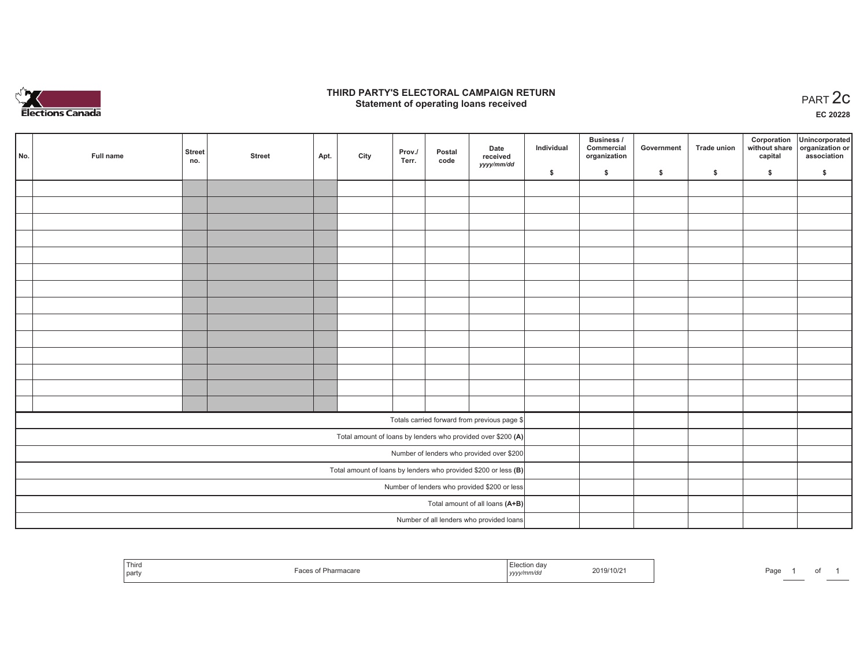

### **THIRD PARTY'S ELECTORAL CAMPAIGN RETURN STATE:** PARTY'S ELECTORAL CAMPAIGN RETURN<br>
Statement of operating loans received

**EC 20228**

|                                              |           | <b>Street</b> |               |      |      | Prov./ | Postal | Date                                                              | Individual | <b>Business /</b><br>Commercial | Government | <b>Trade union</b> | Corporation | Unincorporated<br>without share organization or |
|----------------------------------------------|-----------|---------------|---------------|------|------|--------|--------|-------------------------------------------------------------------|------------|---------------------------------|------------|--------------------|-------------|-------------------------------------------------|
| No.                                          | Full name | no.           | <b>Street</b> | Apt. | City | Terr.  | code   | received<br>yyyy/mm/dd                                            |            | organization                    |            |                    | capital     | association                                     |
|                                              |           |               |               |      |      |        |        |                                                                   | \$         | \$                              | \$         | \$                 | \$          | \$                                              |
|                                              |           |               |               |      |      |        |        |                                                                   |            |                                 |            |                    |             |                                                 |
|                                              |           |               |               |      |      |        |        |                                                                   |            |                                 |            |                    |             |                                                 |
|                                              |           |               |               |      |      |        |        |                                                                   |            |                                 |            |                    |             |                                                 |
|                                              |           |               |               |      |      |        |        |                                                                   |            |                                 |            |                    |             |                                                 |
|                                              |           |               |               |      |      |        |        |                                                                   |            |                                 |            |                    |             |                                                 |
|                                              |           |               |               |      |      |        |        |                                                                   |            |                                 |            |                    |             |                                                 |
|                                              |           |               |               |      |      |        |        |                                                                   |            |                                 |            |                    |             |                                                 |
|                                              |           |               |               |      |      |        |        |                                                                   |            |                                 |            |                    |             |                                                 |
|                                              |           |               |               |      |      |        |        |                                                                   |            |                                 |            |                    |             |                                                 |
|                                              |           |               |               |      |      |        |        |                                                                   |            |                                 |            |                    |             |                                                 |
|                                              |           |               |               |      |      |        |        |                                                                   |            |                                 |            |                    |             |                                                 |
|                                              |           |               |               |      |      |        |        |                                                                   |            |                                 |            |                    |             |                                                 |
|                                              |           |               |               |      |      |        |        |                                                                   |            |                                 |            |                    |             |                                                 |
|                                              |           |               |               |      |      |        |        |                                                                   |            |                                 |            |                    |             |                                                 |
|                                              |           |               |               |      |      |        |        |                                                                   |            |                                 |            |                    |             |                                                 |
|                                              |           |               |               |      |      |        |        | Totals carried forward from previous page \$                      |            |                                 |            |                    |             |                                                 |
|                                              |           |               |               |      |      |        |        | Total amount of loans by lenders who provided over \$200 (A)      |            |                                 |            |                    |             |                                                 |
|                                              |           |               |               |      |      |        |        | Number of lenders who provided over \$200                         |            |                                 |            |                    |             |                                                 |
|                                              |           |               |               |      |      |        |        | Total amount of loans by lenders who provided \$200 or less $(B)$ |            |                                 |            |                    |             |                                                 |
| Number of lenders who provided \$200 or less |           |               |               |      |      |        |        |                                                                   |            |                                 |            |                    |             |                                                 |
|                                              |           |               |               |      |      |        |        | Total amount of all loans (A+B)                                   |            |                                 |            |                    |             |                                                 |
|                                              |           |               |               |      |      |        |        | Number of all lenders who provided loans                          |            |                                 |            |                    |             |                                                 |

| Third<br>  party | nacare | ≏tion dav<br>vvvv/mm/do<br>,,,, | 2019/10/2 | Page |
|------------------|--------|---------------------------------|-----------|------|
|------------------|--------|---------------------------------|-----------|------|

of 1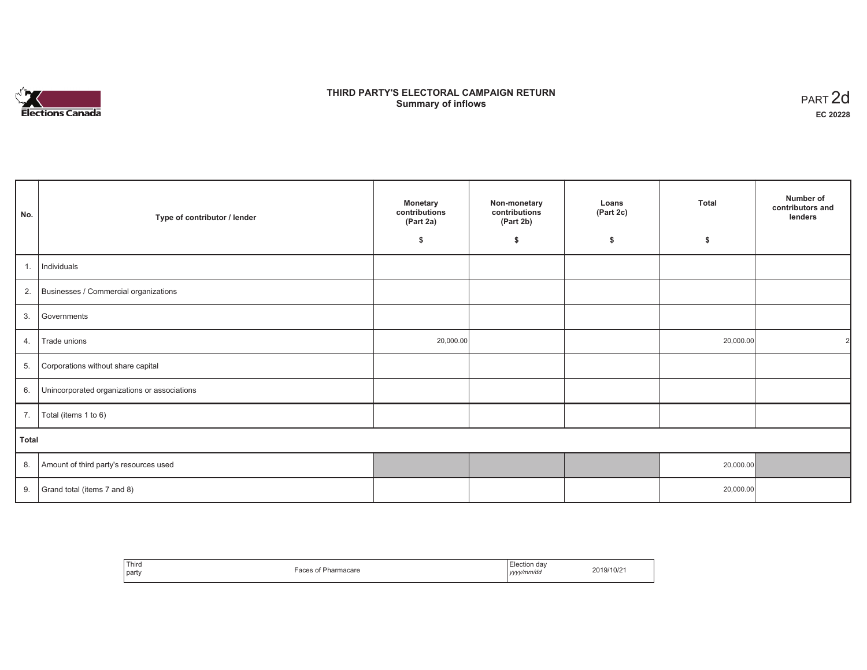# **Elections Canada**

## **THIRD PARTY'S ELECTORAL CAMPAIGN RETURN Summary of inflows**

| PART <sub>2d</sub> |
|--------------------|
| EC 20228           |

| No.   | Type of contributor / lender                 | <b>Monetary</b><br>contributions<br>(Part 2a) | Non-monetary<br>contributions<br>(Part 2b) | Loans<br>(Part 2c) | <b>Total</b> | Number of<br>contributors and<br>lenders |
|-------|----------------------------------------------|-----------------------------------------------|--------------------------------------------|--------------------|--------------|------------------------------------------|
|       |                                              | \$                                            | \$                                         | \$                 | \$           |                                          |
| 1.    | Individuals                                  |                                               |                                            |                    |              |                                          |
| 2.    | Businesses / Commercial organizations        |                                               |                                            |                    |              |                                          |
| 3.    | Governments                                  |                                               |                                            |                    |              |                                          |
| 4.    | Trade unions                                 | 20,000.00                                     |                                            |                    | 20,000.00    |                                          |
| 5.    | Corporations without share capital           |                                               |                                            |                    |              |                                          |
| 6.    | Unincorporated organizations or associations |                                               |                                            |                    |              |                                          |
| 7.    | Total (items 1 to 6)                         |                                               |                                            |                    |              |                                          |
| Total |                                              |                                               |                                            |                    |              |                                          |
| 8.    | Amount of third party's resources used       |                                               |                                            |                    | 20,000.00    |                                          |
| 9.    | Grand total (items 7 and 8)                  |                                               |                                            |                    | 20,000.00    |                                          |

| Third<br>party | 'harmacare<br>u | lection dav<br>yyyy/mm/dd<br>,,,, | 2019/10/2 |
|----------------|-----------------|-----------------------------------|-----------|
|----------------|-----------------|-----------------------------------|-----------|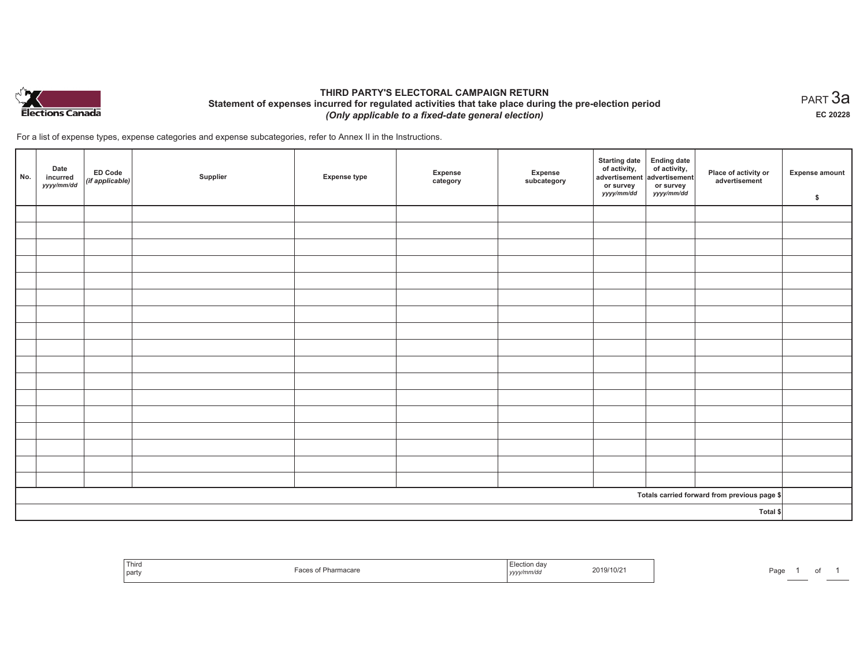

## **THIRD PARTY'S ELECTORAL CAMPAIGN RETURN Statement of expenses incurred for regulated activities that take place during the pre-election period**  *(Only applicable to a fixed-date general election)*

For a list of expense types, expense categories and expense subcategories, refer to Annex II in the Instructions.

| No. | Date<br>incurred<br>yyyy/mm/dd | <b>ED Code</b><br>$($ if applicable $)$ | Supplier | <b>Expense type</b> | Expense<br>category | Expense<br>subcategory | <b>Starting date</b><br>of activity,<br>advertisement<br>or survey<br>yyyy/mm/dd | Ending date<br>of activity,<br>advertisement<br>or survey<br>yyyy/mm/dd | Place of activity or<br>advertisement        | Expense amount<br>\$ |
|-----|--------------------------------|-----------------------------------------|----------|---------------------|---------------------|------------------------|----------------------------------------------------------------------------------|-------------------------------------------------------------------------|----------------------------------------------|----------------------|
|     |                                |                                         |          |                     |                     |                        |                                                                                  |                                                                         |                                              |                      |
|     |                                |                                         |          |                     |                     |                        |                                                                                  |                                                                         |                                              |                      |
|     |                                |                                         |          |                     |                     |                        |                                                                                  |                                                                         |                                              |                      |
|     |                                |                                         |          |                     |                     |                        |                                                                                  |                                                                         |                                              |                      |
|     |                                |                                         |          |                     |                     |                        |                                                                                  |                                                                         |                                              |                      |
|     |                                |                                         |          |                     |                     |                        |                                                                                  |                                                                         |                                              |                      |
|     |                                |                                         |          |                     |                     |                        |                                                                                  |                                                                         |                                              |                      |
|     |                                |                                         |          |                     |                     |                        |                                                                                  |                                                                         |                                              |                      |
|     |                                |                                         |          |                     |                     |                        |                                                                                  |                                                                         |                                              |                      |
|     |                                |                                         |          |                     |                     |                        |                                                                                  |                                                                         |                                              |                      |
|     |                                |                                         |          |                     |                     |                        |                                                                                  |                                                                         |                                              |                      |
|     |                                |                                         |          |                     |                     |                        |                                                                                  |                                                                         |                                              |                      |
|     |                                |                                         |          |                     |                     |                        |                                                                                  |                                                                         |                                              |                      |
|     |                                |                                         |          |                     |                     |                        |                                                                                  |                                                                         |                                              |                      |
|     |                                |                                         |          |                     |                     |                        |                                                                                  |                                                                         |                                              |                      |
|     |                                |                                         |          |                     |                     |                        |                                                                                  |                                                                         |                                              |                      |
|     |                                |                                         |          |                     |                     |                        |                                                                                  |                                                                         |                                              |                      |
|     |                                |                                         |          |                     |                     |                        |                                                                                  |                                                                         | Totals carried forward from previous page \$ |                      |
|     | Total \$                       |                                         |          |                     |                     |                        |                                                                                  |                                                                         |                                              |                      |

| ' Third<br>party | ırmacare | ua<br>vu<br>1.9999' | 2019/10/2<br>the contract of the contract of the contract of the contract of the contract of | Page |  |  |  |
|------------------|----------|---------------------|----------------------------------------------------------------------------------------------|------|--|--|--|
|------------------|----------|---------------------|----------------------------------------------------------------------------------------------|------|--|--|--|

 $_{\sf PART}$ 3a **EC 20228**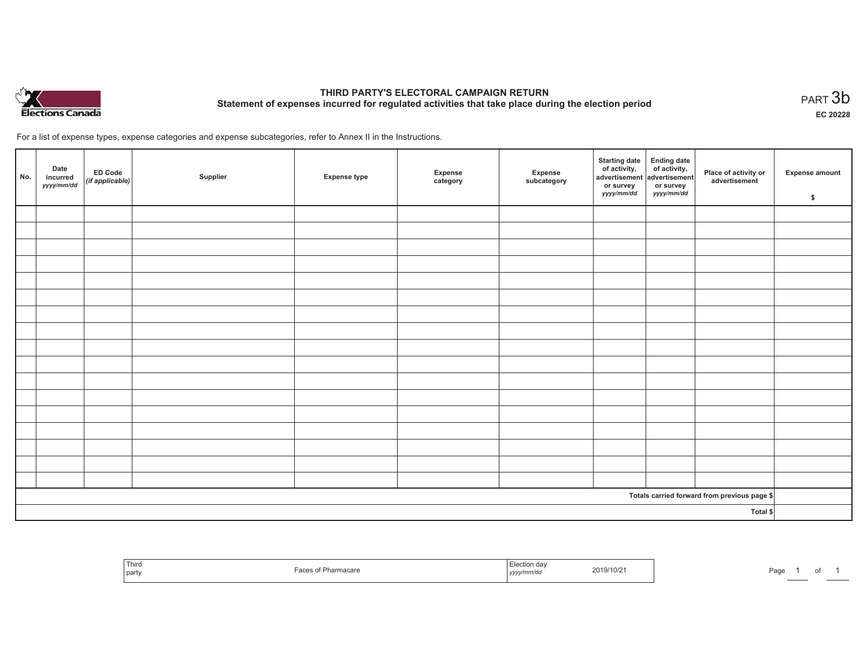

# **THIRD PARTY'S ELECTORAL CAMPAIGN RETURN Statement of expenses incurred for regulated activities that take place during the election period**<br>PART  $3b$

**EC 20228**

of 1

For a list of expense types, expense categories and expense subcategories, refer to Annex II in the Instructions.

| No.      | Date<br>incurred<br>yyyy/mm/dd | ED Code<br>(if applicable) | Supplier | <b>Expense type</b> | Expense<br>category | Expense<br>subcategory | <b>Starting date</b><br>of activity,<br>advertisement<br>or survey<br><i>yyyy/mm/dd</i> | Ending date<br>of activity,<br>advertisement<br>or survey<br><i>yyyy/mm/dd</i> | Place of activity or<br>advertisement        | <b>Expense amount</b><br>\$ |
|----------|--------------------------------|----------------------------|----------|---------------------|---------------------|------------------------|-----------------------------------------------------------------------------------------|--------------------------------------------------------------------------------|----------------------------------------------|-----------------------------|
|          |                                |                            |          |                     |                     |                        |                                                                                         |                                                                                |                                              |                             |
|          |                                |                            |          |                     |                     |                        |                                                                                         |                                                                                |                                              |                             |
|          |                                |                            |          |                     |                     |                        |                                                                                         |                                                                                |                                              |                             |
|          |                                |                            |          |                     |                     |                        |                                                                                         |                                                                                |                                              |                             |
|          |                                |                            |          |                     |                     |                        |                                                                                         |                                                                                |                                              |                             |
|          |                                |                            |          |                     |                     |                        |                                                                                         |                                                                                |                                              |                             |
|          |                                |                            |          |                     |                     |                        |                                                                                         |                                                                                |                                              |                             |
|          |                                |                            |          |                     |                     |                        |                                                                                         |                                                                                |                                              |                             |
|          |                                |                            |          |                     |                     |                        |                                                                                         |                                                                                |                                              |                             |
|          |                                |                            |          |                     |                     |                        |                                                                                         |                                                                                |                                              |                             |
|          |                                |                            |          |                     |                     |                        |                                                                                         |                                                                                |                                              |                             |
|          |                                |                            |          |                     |                     |                        |                                                                                         |                                                                                |                                              |                             |
|          |                                |                            |          |                     |                     |                        |                                                                                         |                                                                                |                                              |                             |
|          |                                |                            |          |                     |                     |                        |                                                                                         |                                                                                |                                              |                             |
|          |                                |                            |          |                     |                     |                        |                                                                                         |                                                                                |                                              |                             |
|          |                                |                            |          |                     |                     |                        |                                                                                         |                                                                                |                                              |                             |
|          |                                |                            |          |                     |                     |                        |                                                                                         |                                                                                |                                              |                             |
|          |                                |                            |          |                     |                     |                        |                                                                                         |                                                                                | Totals carried forward from previous page \$ |                             |
| Total \$ |                                |                            |          |                     |                     |                        |                                                                                         |                                                                                |                                              |                             |

| l nird<br>part |  | mnvuc<br>,,,,, | 171117<br>U | ∙aɑe |  |
|----------------|--|----------------|-------------|------|--|
|----------------|--|----------------|-------------|------|--|